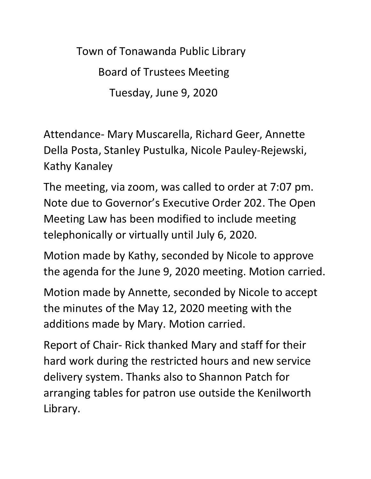Town of Tonawanda Public Library Board of Trustees Meeting Tuesday, June 9, 2020

Attendance- Mary Muscarella, Richard Geer, Annette Della Posta, Stanley Pustulka, Nicole Pauley-Rejewski, Kathy Kanaley

The meeting, via zoom, was called to order at 7:07 pm. Note due to Governor's Executive Order 202. The Open Meeting Law has been modified to include meeting telephonically or virtually until July 6, 2020.

Motion made by Kathy, seconded by Nicole to approve the agenda for the June 9, 2020 meeting. Motion carried.

Motion made by Annette, seconded by Nicole to accept the minutes of the May 12, 2020 meeting with the additions made by Mary. Motion carried.

Report of Chair- Rick thanked Mary and staff for their hard work during the restricted hours and new service delivery system. Thanks also to Shannon Patch for arranging tables for patron use outside the Kenilworth Library.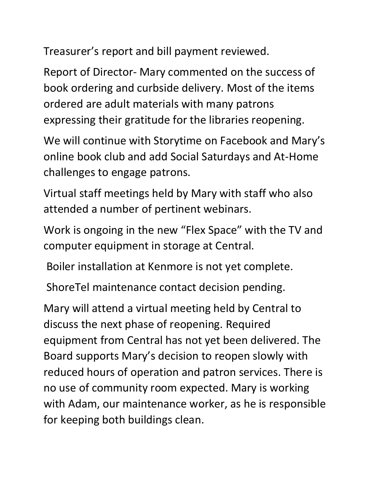Treasurer's report and bill payment reviewed.

Report of Director- Mary commented on the success of book ordering and curbside delivery. Most of the items ordered are adult materials with many patrons expressing their gratitude for the libraries reopening.

We will continue with Storytime on Facebook and Mary's online book club and add Social Saturdays and At-Home challenges to engage patrons.

Virtual staff meetings held by Mary with staff who also attended a number of pertinent webinars.

Work is ongoing in the new "Flex Space" with the TV and computer equipment in storage at Central.

Boiler installation at Kenmore is not yet complete.

ShoreTel maintenance contact decision pending.

Mary will attend a virtual meeting held by Central to discuss the next phase of reopening. Required equipment from Central has not yet been delivered. The Board supports Mary's decision to reopen slowly with reduced hours of operation and patron services. There is no use of community room expected. Mary is working with Adam, our maintenance worker, as he is responsible for keeping both buildings clean.